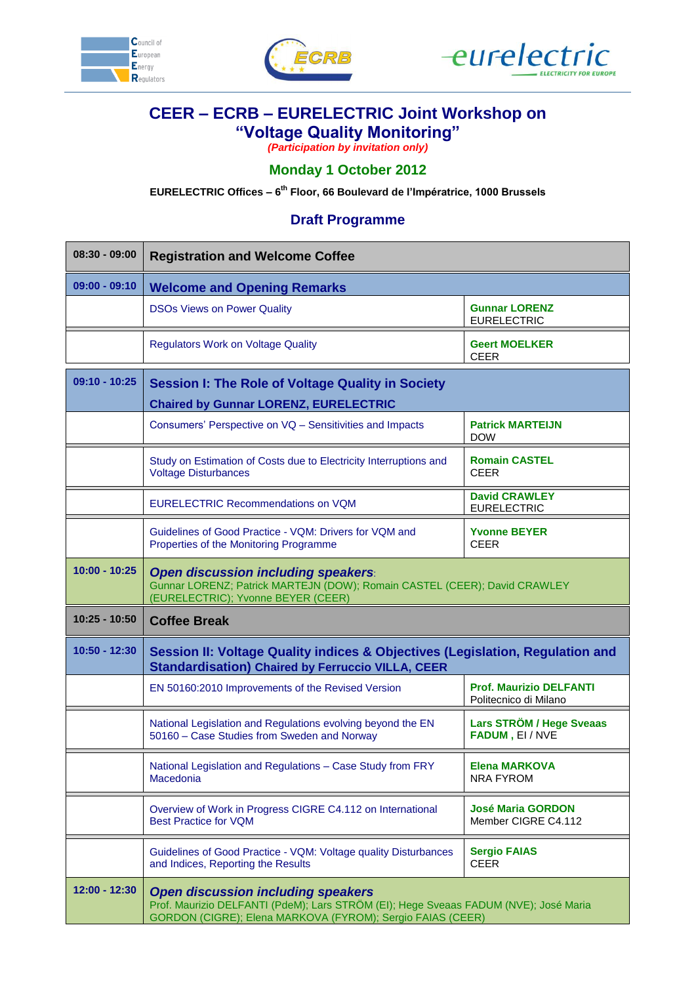





## **CEER – ECRB – EURELECTRIC Joint Workshop on "Voltage Quality Monitoring"**

*(Participation by invitation only)*

## **Monday 1 October 2012**

**EURELECTRIC Offices – 6 th Floor, 66 Boulevard de l'Impératrice, 1000 Brussels**

## **Draft Programme**

| $08:30 - 09:00$ | <b>Registration and Welcome Coffee</b>                                                                                                                                                          |                                                         |  |
|-----------------|-------------------------------------------------------------------------------------------------------------------------------------------------------------------------------------------------|---------------------------------------------------------|--|
| $09:00 - 09:10$ | <b>Welcome and Opening Remarks</b>                                                                                                                                                              |                                                         |  |
|                 | <b>DSOs Views on Power Quality</b>                                                                                                                                                              | <b>Gunnar LORENZ</b><br><b>EURELECTRIC</b>              |  |
|                 | <b>Regulators Work on Voltage Quality</b>                                                                                                                                                       | <b>Geert MOELKER</b><br><b>CEER</b>                     |  |
| $09:10 - 10:25$ | <b>Session I: The Role of Voltage Quality in Society</b>                                                                                                                                        |                                                         |  |
|                 | <b>Chaired by Gunnar LORENZ, EURELECTRIC</b>                                                                                                                                                    |                                                         |  |
|                 | Consumers' Perspective on VQ - Sensitivities and Impacts                                                                                                                                        | <b>Patrick MARTEIJN</b><br><b>DOW</b>                   |  |
|                 | Study on Estimation of Costs due to Electricity Interruptions and<br><b>Voltage Disturbances</b>                                                                                                | <b>Romain CASTEL</b><br><b>CEER</b>                     |  |
|                 | <b>EURELECTRIC Recommendations on VQM</b>                                                                                                                                                       | <b>David CRAWLEY</b><br><b>EURELECTRIC</b>              |  |
|                 | Guidelines of Good Practice - VQM: Drivers for VQM and<br>Properties of the Monitoring Programme                                                                                                | <b>Yvonne BEYER</b><br><b>CEER</b>                      |  |
| $10:00 - 10:25$ | Open discussion including speakers:<br>Gunnar LORENZ; Patrick MARTEJN (DOW); Romain CASTEL (CEER); David CRAWLEY<br>(EURELECTRIC); Yvonne BEYER (CEER)                                          |                                                         |  |
| $10:25 - 10:50$ | <b>Coffee Break</b>                                                                                                                                                                             |                                                         |  |
| $10:50 - 12:30$ | Session II: Voltage Quality indices & Objectives (Legislation, Regulation and<br><b>Standardisation) Chaired by Ferruccio VILLA, CEER</b>                                                       |                                                         |  |
|                 | EN 50160:2010 Improvements of the Revised Version                                                                                                                                               | <b>Prof. Maurizio DELFANTI</b><br>Politecnico di Milano |  |
|                 | National Legislation and Regulations evolving beyond the EN<br>50160 - Case Studies from Sweden and Norway                                                                                      | <b>Lars STRÖM / Hege Sveaas</b><br>FADUM, EI/NVE        |  |
|                 | National Legislation and Regulations - Case Study from FRY<br><b>Macedonia</b>                                                                                                                  | <b>Elena MARKOVA</b><br><b>NRA FYROM</b>                |  |
|                 | Overview of Work in Progress CIGRE C4.112 on International<br><b>Best Practice for VQM</b>                                                                                                      | <b>José Maria GORDON</b><br>Member CIGRE C4.112         |  |
|                 | Guidelines of Good Practice - VQM: Voltage quality Disturbances<br>and Indices, Reporting the Results                                                                                           | <b>Sergio FAIAS</b><br><b>CEER</b>                      |  |
| 12:00 - 12:30   | <b>Open discussion including speakers</b><br>Prof. Maurizio DELFANTI (PdeM); Lars STRÖM (EI); Hege Sveaas FADUM (NVE); José Maria<br>GORDON (CIGRE); Elena MARKOVA (FYROM); Sergio FAIAS (CEER) |                                                         |  |